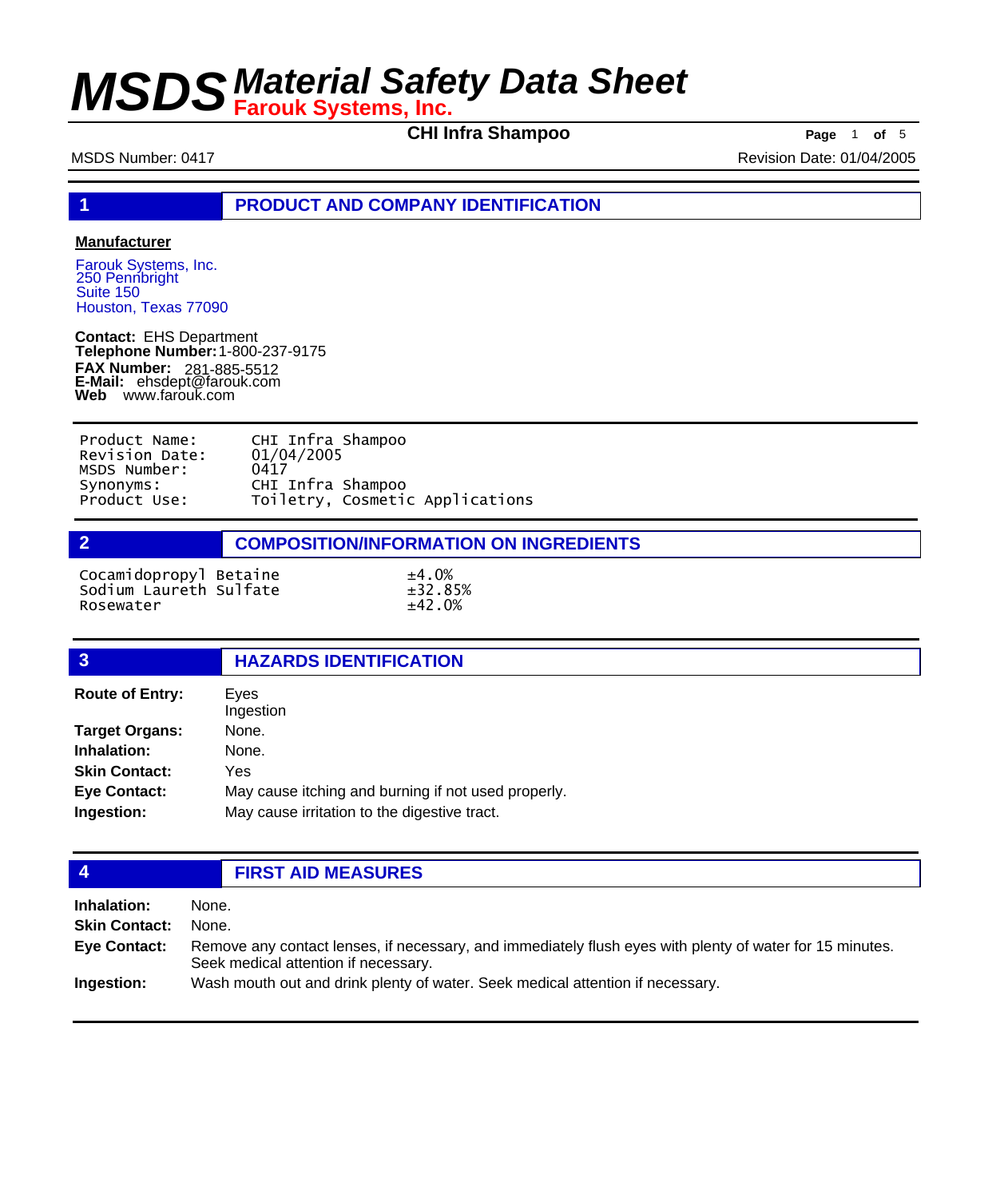**CHI Infra Shampoo Page** 1 **of** 5

MSDS Number: 0417 **MSDS Number: 0417** Revision Date: 01/04/2005

**1 PRODUCT AND COMPANY IDENTIFICATION**

### **Manufacturer**

Farouk Systems, Inc. 250 Pennbright Suite 150 Houston, Texas 77090

**Contact:** EHS Department **Telephone Number:** 1-800-237-9175 **FAX Number: FAX Number:** 281-885-5512<br>**E-Mail:** ehsdept@farouk.com **Web** www.farouk.com

| Product Name:  | CHI Infra Shampoo               |
|----------------|---------------------------------|
| Revision Date: | 01/04/2005                      |
| MSDS Number:   | 0417                            |
| Synonyms:      | CHI Infra Shampoo               |
| Product Use:   | Toiletry, Cosmetic Applications |

## **2 COMPOSITION/INFORMATION ON INGREDIENTS**

Cocamidopropyl Betaine  $\pm 4.0\%$ <br>Sodium Laureth Sulfate  $\pm 32.85\%$ Sodium Laureth Sulfate ±32.85% Rosewater

## **3 HAZARDS IDENTIFICATION**

| <b>Route of Entry:</b> | Eyes                                                |
|------------------------|-----------------------------------------------------|
|                        | Ingestion                                           |
| <b>Target Organs:</b>  | None.                                               |
| Inhalation:            | None.                                               |
| <b>Skin Contact:</b>   | Yes                                                 |
| <b>Eye Contact:</b>    | May cause itching and burning if not used properly. |
| Ingestion:             | May cause irritation to the digestive tract.        |
|                        |                                                     |

## **4 FIRST AID MEASURES**

| <b>Inhalation:</b>   | None.                                                                                                                                            |
|----------------------|--------------------------------------------------------------------------------------------------------------------------------------------------|
| <b>Skin Contact:</b> | None.                                                                                                                                            |
| Eye Contact:         | Remove any contact lenses, if necessary, and immediately flush eyes with plenty of water for 15 minutes.<br>Seek medical attention if necessary. |
| Ingestion:           | Wash mouth out and drink plenty of water. Seek medical attention if necessary.                                                                   |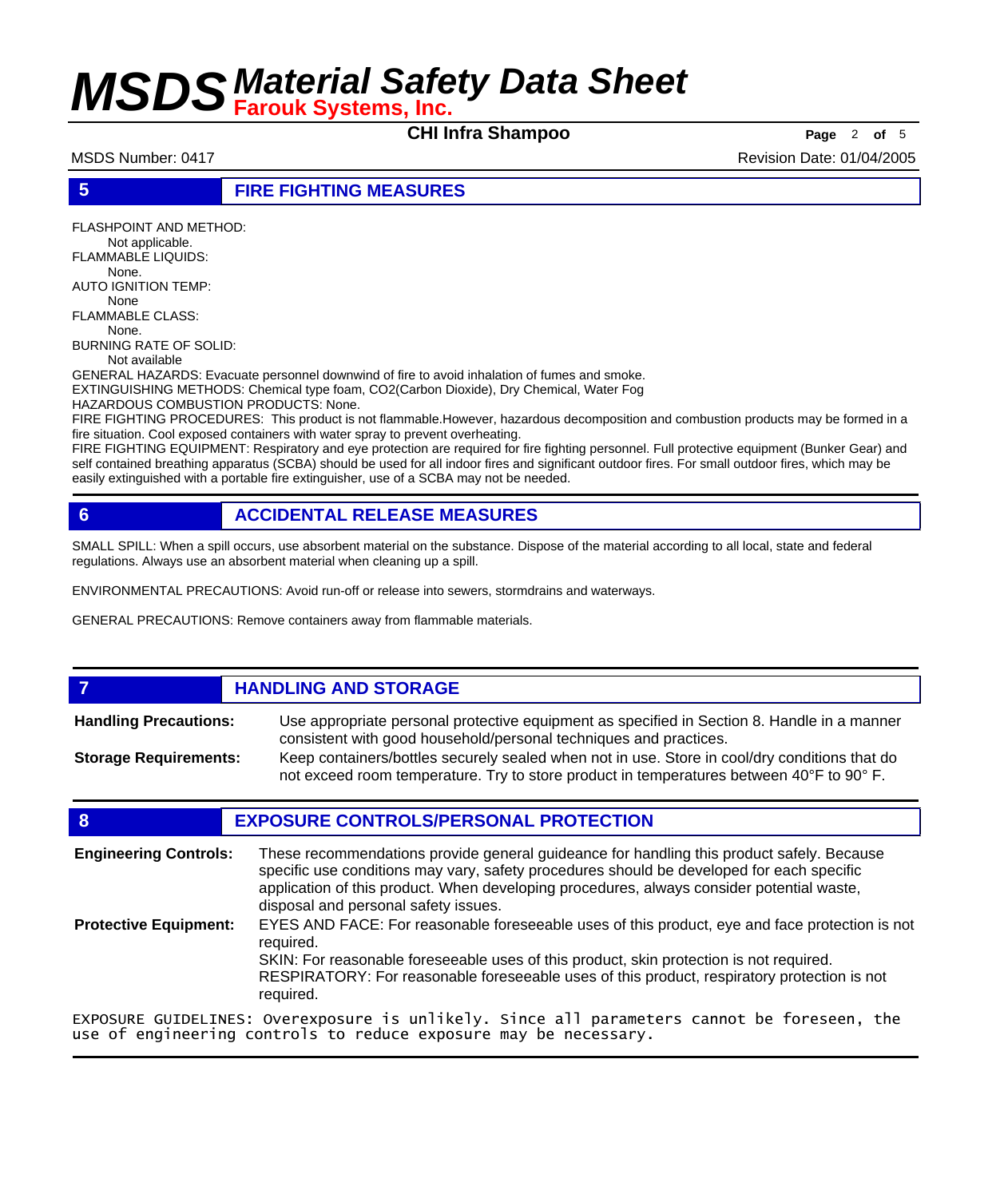**CHI Infra Shampoo Page** <sup>2</sup> **of** <sup>5</sup>

MSDS Number: 0417 **Revision Date: 01/04/2005** Revision Date: 01/04/2005

**5 FIRE FIGHTING MEASURES**

FLASHPOINT AND METHOD: Not applicable. FLAMMABLE LIQUIDS: None. AUTO IGNITION TEMP: None FLAMMABLE CLASS: None. BURNING RATE OF SOLID: Not available GENERAL HAZARDS: Evacuate personnel downwind of fire to avoid inhalation of fumes and smoke. EXTINGUISHING METHODS: Chemical type foam, CO2(Carbon Dioxide), Dry Chemical, Water Fog HAZARDOUS COMBUSTION PRODUCTS: None. FIRE FIGHTING PROCEDURES: This product is not flammable.However, hazardous decomposition and combustion products may be formed in a fire situation. Cool exposed containers with water spray to prevent overheating.

FIRE FIGHTING EQUIPMENT: Respiratory and eye protection are required for fire fighting personnel. Full protective equipment (Bunker Gear) and self contained breathing apparatus (SCBA) should be used for all indoor fires and significant outdoor fires. For small outdoor fires, which may be easily extinguished with a portable fire extinguisher, use of a SCBA may not be needed.

## **6 ACCIDENTAL RELEASE MEASURES**

SMALL SPILL: When a spill occurs, use absorbent material on the substance. Dispose of the material according to all local, state and federal regulations. Always use an absorbent material when cleaning up a spill.

ENVIRONMENTAL PRECAUTIONS: Avoid run-off or release into sewers, stormdrains and waterways.

GENERAL PRECAUTIONS: Remove containers away from flammable materials.

## *HANDLING AND STORAGE*

Use appropriate personal protective equipment as specified in Section 8. Handle in a manner consistent with good household/personal techniques and practices. **Handling Precautions:** Keep containers/bottles securely sealed when not in use. Store in cool/dry conditions that do **Storage Requirements:**

not exceed room temperature. Try to store product in temperatures between 40°F to 90° F.

## **8 EXPOSURE CONTROLS/PERSONAL PROTECTION**

| <b>Engineering Controls:</b> | These recommendations provide general guideance for handling this product safely. Because<br>specific use conditions may vary, safety procedures should be developed for each specific<br>application of this product. When developing procedures, always consider potential waste,<br>disposal and personal safety issues. |  |
|------------------------------|-----------------------------------------------------------------------------------------------------------------------------------------------------------------------------------------------------------------------------------------------------------------------------------------------------------------------------|--|
| <b>Protective Equipment:</b> | EYES AND FACE: For reasonable foreseeable uses of this product, eye and face protection is not<br>reauired.<br>SKIN: For reasonable foreseeable uses of this product, skin protection is not required.<br>RESPIRATORY: For reasonable foreseeable uses of this product, respiratory protection is not<br>required.          |  |
|                              | EXPOSURE GUIDELINES: Overexposure is unlikely. Since all parameters cannot be foreseen, the<br>use of engineering controls to reduce exposure may be necessary.                                                                                                                                                             |  |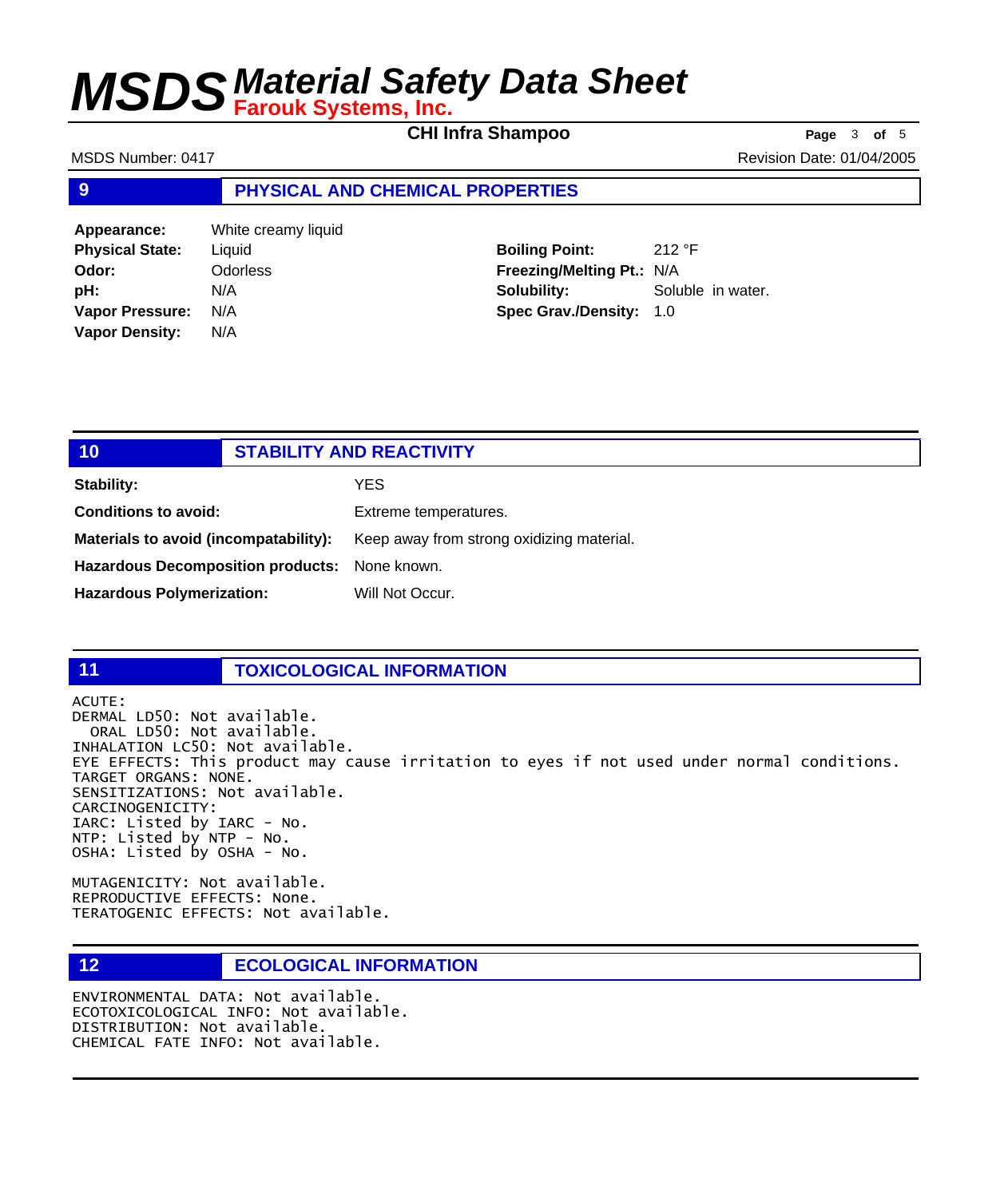**CHI Infra Shampoo Page** <sup>3</sup> **of** <sup>5</sup>

MSDS Number: 0417 **Revision Date: 01/04/2005** Revision Date: 01/04/2005

### **9 PHYSICAL AND CHEMICAL PROPERTIES**

**Appearance:** White creamy liquid **Physical State:** Liquid **Odor:** Odorless **pH:** N/A **Vapor Pressure:** N/A **Vapor Density:** N/A

**Boiling Point:** 212 °F **Freezing/Melting Pt.:** N/A **Solubility:** Soluble in water. **Spec Grav./Density:** 1.0

| 10                                            | <b>STABILITY AND REACTIVITY</b>           |
|-----------------------------------------------|-------------------------------------------|
| Stability:                                    | YES                                       |
| <b>Conditions to avoid:</b>                   | Extreme temperatures.                     |
| Materials to avoid (incompatability):         | Keep away from strong oxidizing material. |
| Hazardous Decomposition products: None known. |                                           |
| <b>Hazardous Polymerization:</b>              | Will Not Occur.                           |

### **11 TOXICOLOGICAL INFORMATION**

ACUTE: DERMAL LD50: Not available. ORAL LD50: Not available. INHALATION LC50: Not available. EYE EFFECTS: This product may cause irritation to eyes if not used under normal conditions. TARGET ORGANS: NONE. SENSITIZATIONS: Not available. CARCINOGENICITY: IARC: Listed by IARC - No. NTP: Listed by NTP - No. OSHA: Listed by OSHA - No.

MUTAGENICITY: Not available. REPRODUCTIVE EFFECTS: None. TERATOGENIC EFFECTS: Not available.

## **12 ECOLOGICAL INFORMATION**

ENVIRONMENTAL DATA: Not available. ECOTOXICOLOGICAL INFO: Not available. DISTRIBUTION: Not available. CHEMICAL FATE INFO: Not available.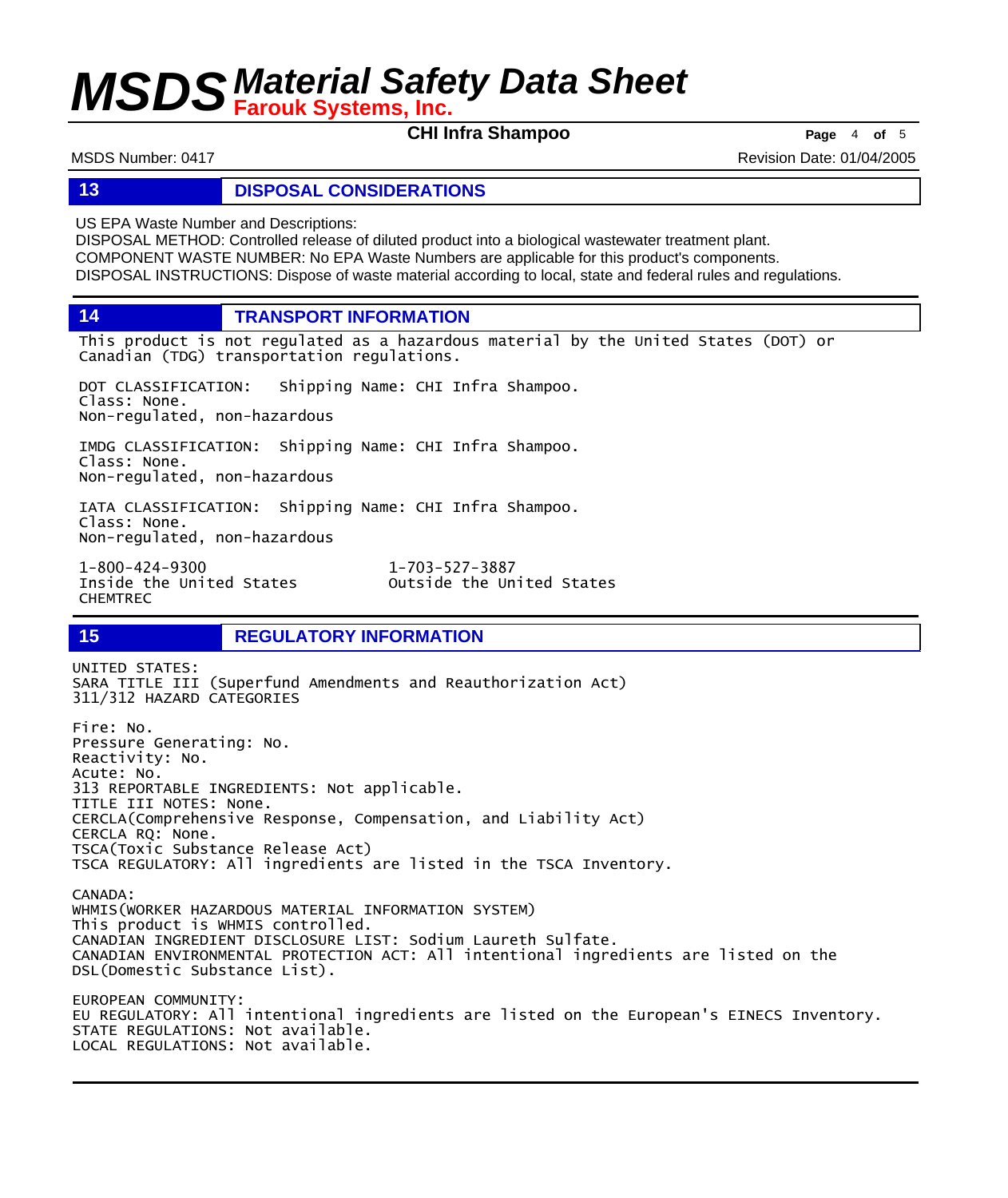**CHI Infra Shampoo Page** <sup>4</sup> **of** <sup>5</sup>

MSDS Number: 0417 **Revision Date: 01/04/2005** Revision Date: 01/04/2005

### **13 DISPOSAL CONSIDERATIONS**

US EPA Waste Number and Descriptions:

DISPOSAL METHOD: Controlled release of diluted product into a biological wastewater treatment plant. COMPONENT WASTE NUMBER: No EPA Waste Numbers are applicable for this product's components. DISPOSAL INSTRUCTIONS: Dispose of waste material according to local, state and federal rules and regulations.

**14 TRANSPORT INFORMATION**

This product is not regulated as a hazardous material by the United States (DOT) or Canadian (TDG) transportation regulations.

DOT CLASSIFICATION: Shipping Name: CHI Infra Shampoo. Class: None. Non-regulated, non-hazardous

IMDG CLASSIFICATION: Shipping Name: CHI Infra Shampoo. Class: None. Non-regulated, non-hazardous

IATA CLASSIFICATION: Shipping Name: CHI Infra Shampoo. Class: None. Non-regulated, non-hazardous

1-800-424-9300 1-703-527-3887 CHEMTREC

Outside the United States

## **15 REGULATORY INFORMATION**

UNITED STATES: SARA TITLE III (Superfund Amendments and Reauthorization Act) 311/312 HAZARD CATEGORIES Fire: No. Pressure Generating: No. Reactivity: No. Acute: No. 313 REPORTABLE INGREDIENTS: Not applicable. TITLE III NOTES: None. CERCLA(Comprehensive Response, Compensation, and Liability Act) CERCLA RQ: None. TSCA(Toxic Substance Release Act) TSCA REGULATORY: All ingredients are listed in the TSCA Inventory. CANADA: WHMIS(WORKER HAZARDOUS MATERIAL INFORMATION SYSTEM) This product is WHMIS controlled. CANADIAN INGREDIENT DISCLOSURE LIST: Sodium Laureth Sulfate. CANADIAN ENVIRONMENTAL PROTECTION ACT: All intentional ingredients are listed on the DSL(Domestic Substance List).

EUROPEAN COMMUNITY: EU REGULATORY: All intentional ingredients are listed on the European's EINECS Inventory. STATE REGULATIONS: Not available. LOCAL REGULATIONS: Not available.